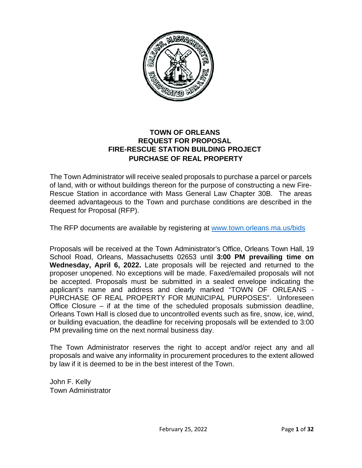

# **TOWN OF ORLEANS REQUEST FOR PROPOSAL FIRE-RESCUE STATION BUILDING PROJECT PURCHASE OF REAL PROPERTY**

The Town Administrator will receive sealed proposals to purchase a parcel or parcels of land, with or without buildings thereon for the purpose of constructing a new Fire-Rescue Station in accordance with Mass General Law Chapter 30B. The areas deemed advantageous to the Town and purchase conditions are described in the Request for Proposal (RFP).

The RFP documents are available by registering at [www.town.orleans.ma.us/bids](http://www.town.orleans.ma.us/bids) 

Proposals will be received at the Town Administrator's Office, Orleans Town Hall, 19 School Road, Orleans, Massachusetts 02653 until **3:00 PM prevailing time on Wednesday, April 6, 2022.** Late proposals will be rejected and returned to the proposer unopened. No exceptions will be made. Faxed/emailed proposals will not be accepted. Proposals must be submitted in a sealed envelope indicating the applicant's name and address and clearly marked "TOWN OF ORLEANS - PURCHASE OF REAL PROPERTY FOR MUNICIPAL PURPOSES". Unforeseen Office Closure – if at the time of the scheduled proposals submission deadline, Orleans Town Hall is closed due to uncontrolled events such as fire, snow, ice, wind, or building evacuation, the deadline for receiving proposals will be extended to 3:00 PM prevailing time on the next normal business day.

The Town Administrator reserves the right to accept and/or reject any and all proposals and waive any informality in procurement procedures to the extent allowed by law if it is deemed to be in the best interest of the Town.

John F. Kelly Town Administrator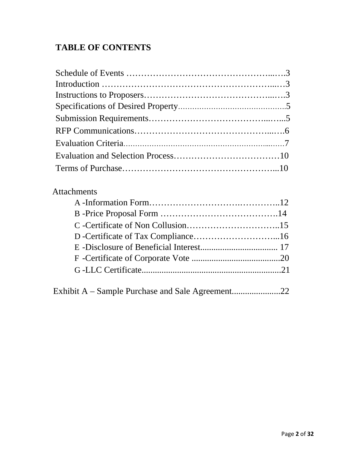# **TABLE OF CONTENTS**

# Attachments

|--|--|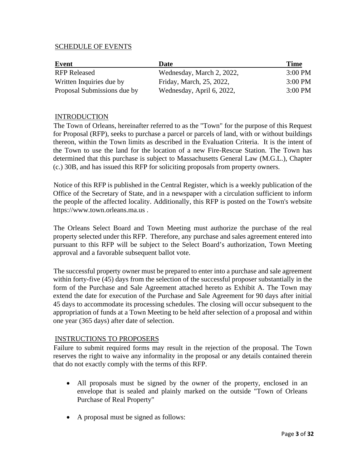#### SCHEDULE OF EVENTS

| Event                       | Date                      | <b>Time</b>       |
|-----------------------------|---------------------------|-------------------|
| <b>RFP Released</b>         | Wednesday, March 2, 2022, | $3:00 \text{ PM}$ |
| Written Inquiries due by    | Friday, March, 25, 2022,  | $3:00 \text{ PM}$ |
| Proposal Submissions due by | Wednesday, April 6, 2022, | $3:00 \text{ PM}$ |

#### **INTRODUCTION**

The Town of Orleans, hereinafter referred to as the "Town" for the purpose of this Request for Proposal (RFP), seeks to purchase a parcel or parcels of land, with or without buildings thereon, within the Town limits as described in the Evaluation Criteria. It is the intent of the Town to use the land for the location of a new Fire-Rescue Station. The Town has determined that this purchase is subject to Massachusetts General Law (M.G.L.), Chapter (c.) 30B, and has issued this RFP for soliciting proposals from property owners.

Notice of this RFP is published in the Central Register, which is a weekly publication of the Office of the Secretary of State, and in a newspaper with a circulation sufficient to inform the people of the affected locality. Additionally, this RFP is posted on the Town's website https://www.town.orleans.ma.us .

The Orleans Select Board and Town Meeting must authorize the purchase of the real property selected under this RFP. Therefore, any purchase and sales agreement entered into pursuant to this RFP will be subject to the Select Board's authorization, Town Meeting approval and a favorable subsequent ballot vote.

The successful property owner must be prepared to enter into a purchase and sale agreement within forty-five (45) days from the selection of the successful proposer substantially in the form of the Purchase and Sale Agreement attached hereto as Exhibit A. The Town may extend the date for execution of the Purchase and Sale Agreement for 90 days after initial 45 days to accommodate its processing schedules. The closing will occur subsequent to the appropriation of funds at a Town Meeting to be held after selection of a proposal and within one year (365 days) after date of selection.

#### INSTRUCTIONS TO PROPOSERS

Failure to submit required forms may result in the rejection of the proposal. The Town reserves the right to waive any informality in the proposal or any details contained therein that do not exactly comply with the terms of this RFP.

- All proposals must be signed by the owner of the property, enclosed in an envelope that is sealed and plainly marked on the outside "Town of Orleans Purchase of Real Property"
- A proposal must be signed as follows: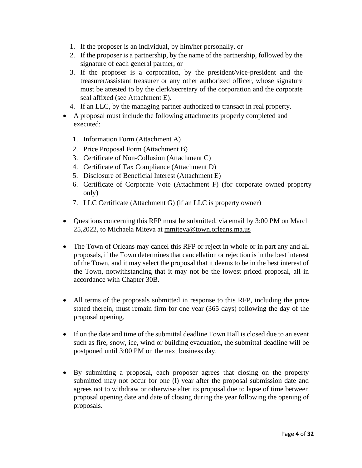- 1. If the proposer is an individual, by him/her personally, or
- 2. If the proposer is a partnership, by the name of the partnership, followed by the signature of each general partner, or
- 3. If the proposer is a corporation, by the president/vice-president and the treasurer/assistant treasurer or any other authorized officer, whose signature must be attested to by the clerk/secretary of the corporation and the corporate seal affixed (see Attachment E).
- 4. If an LLC, by the managing partner authorized to transact in real property.
- A proposal must include the following attachments properly completed and executed:
	- 1. Information Form (Attachment A)
	- 2. Price Proposal Form (Attachment B)
	- 3. Certificate of Non-Collusion (Attachment C)
	- 4. Certificate of Tax Compliance (Attachment D)
	- 5. Disclosure of Beneficial Interest (Attachment E)
	- 6. Certificate of Corporate Vote (Attachment F) (for corporate owned property only)
	- 7. LLC Certificate (Attachment G) (if an LLC is property owner)
- Questions concerning this RFP must be submitted, via email by 3:00 PM on March 25,2022, to Michaela Miteva at [mmiteva@town.orleans.ma.us](mailto:mmiteva@town.orleans.ma.us)
- The Town of Orleans may cancel this RFP or reject in whole or in part any and all proposals, if the Town determines that cancellation or rejection is in the best interest of the Town, and it may select the proposal that it deems to be in the best interest of the Town, notwithstanding that it may not be the lowest priced proposal, all in accordance with Chapter 30B.
- All terms of the proposals submitted in response to this RFP, including the price stated therein, must remain firm for one year (365 days) following the day of the proposal opening.
- If on the date and time of the submittal deadline Town Hall is closed due to an event such as fire, snow, ice, wind or building evacuation, the submittal deadline will be postponed until 3:00 PM on the next business day.
- By submitting a proposal, each proposer agrees that closing on the property submitted may not occur for one (l) year after the proposal submission date and agrees not to withdraw or otherwise alter its proposal due to lapse of time between proposal opening date and date of closing during the year following the opening of proposals.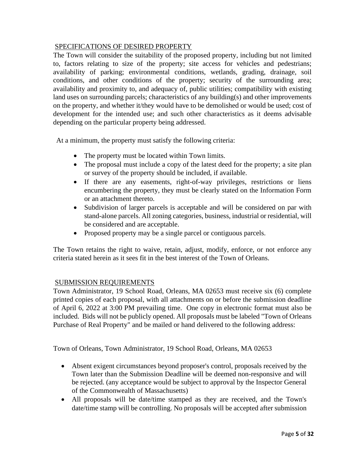#### SPECIFICATIONS OF DESIRED PROPERTY

The Town will consider the suitability of the proposed property, including but not limited to, factors relating to size of the property; site access for vehicles and pedestrians; availability of parking; environmental conditions, wetlands, grading, drainage, soil conditions, and other conditions of the property; security of the surrounding area; availability and proximity to, and adequacy of, public utilities; compatibility with existing land uses on surrounding parcels; characteristics of any building(s) and other improvements on the property, and whether it/they would have to be demolished or would be used; cost of development for the intended use; and such other characteristics as it deems advisable depending on the particular property being addressed.

At a minimum, the property must satisfy the following criteria:

- The property must be located within Town limits.
- The proposal must include a copy of the latest deed for the property; a site plan or survey of the property should be included, if available.
- If there are any easements, right-of-way privileges, restrictions or liens encumbering the property, they must be clearly stated on the Information Form or an attachment thereto.
- Subdivision of larger parcels is acceptable and will be considered on par with stand-alone parcels. All zoning categories, business, industrial or residential, will be considered and are acceptable.
- Proposed property may be a single parcel or contiguous parcels.

The Town retains the right to waive, retain, adjust, modify, enforce, or not enforce any criteria stated herein as it sees fit in the best interest of the Town of Orleans.

### SUBMISSION REQUIREMENTS

Town Administrator, 19 School Road, Orleans, MA 02653 must receive six (6) complete printed copies of each proposal, with all attachments on or before the submission deadline of April 6, 2022 at 3:00 PM prevailing time. One copy in electronic format must also be included. Bids will not be publicly opened. All proposals must be labeled "Town of Orleans Purchase of Real Property" and be mailed or hand delivered to the following address:

Town of Orleans, Town Administrator, 19 School Road, Orleans, MA 02653

- Absent exigent circumstances beyond proposer's control, proposals received by the Town later than the Submission Deadline will be deemed non-responsive and will be rejected. (any acceptance would be subject to approval by the Inspector General of the Commonwealth of Massachusetts)
- All proposals will be date/time stamped as they are received, and the Town's date/time stamp will be controlling. No proposals will be accepted after submission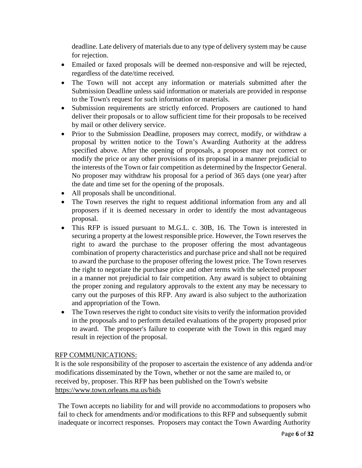deadline. Late delivery of materials due to any type of delivery system may be cause for rejection.

- Emailed or faxed proposals will be deemed non-responsive and will be rejected, regardless of the date/time received.
- The Town will not accept any information or materials submitted after the Submission Deadline unless said information or materials are provided in response to the Town's request for such information or materials.
- Submission requirements are strictly enforced. Proposers are cautioned to hand deliver their proposals or to allow sufficient time for their proposals to be received by mail or other delivery service.
- Prior to the Submission Deadline, proposers may correct, modify, or withdraw a proposal by written notice to the Town's Awarding Authority at the address specified above. After the opening of proposals, a proposer may not correct or modify the price or any other provisions of its proposal in a manner prejudicial to the interests of the Town or fair competition as determined by the Inspector General. No proposer may withdraw his proposal for a period of 365 days (one year) after the date and time set for the opening of the proposals.
- All proposals shall be unconditional.
- The Town reserves the right to request additional information from any and all proposers if it is deemed necessary in order to identify the most advantageous proposal.
- This RFP is issued pursuant to M.G.L. c. 30B, 16. The Town is interested in securing a property at the lowest responsible price. However, the Town reserves the right to award the purchase to the proposer offering the most advantageous combination of property characteristics and purchase price and shall not be required to award the purchase to the proposer offering the lowest price. The Town reserves the right to negotiate the purchase price and other terms with the selected proposer in a manner not prejudicial to fair competition. Any award is subject to obtaining the proper zoning and regulatory approvals to the extent any may be necessary to carry out the purposes of this RFP. Any award is also subject to the authorization and appropriation of the Town.
- The Town reserves the right to conduct site visits to verify the information provided in the proposals and to perform detailed evaluations of the property proposed prior to award. The proposer's failure to cooperate with the Town in this regard may result in rejection of the proposal.

### RFP COMMUNICATIONS:

It is the sole responsibility of the proposer to ascertain the existence of any addenda and/or modifications disseminated by the Town, whether or not the same are mailed to, or received by, proposer. This RFP has been published on the Town's website <https://www.town.orleans.ma.us/bids>

The Town accepts no liability for and will provide no accommodations to proposers who fail to check for amendments and/or modifications to this RFP and subsequently submit inadequate or incorrect responses. Proposers may contact the Town Awarding Authority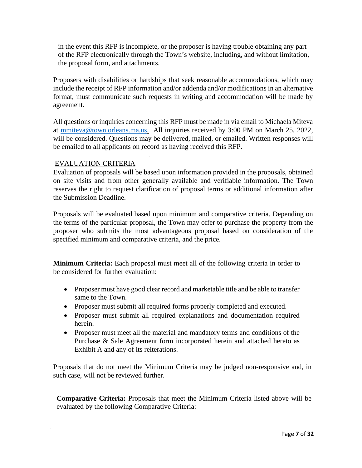in the event this RFP is incomplete, or the proposer is having trouble obtaining any part of the RFP electronically through the Town's website, including, and without limitation, the proposal form, and attachments.

Proposers with disabilities or hardships that seek reasonable accommodations, which may include the receipt of RFP information and/or addenda and/or modifications in an alternative format, must communicate such requests in writing and accommodation will be made by agreement.

All questions or inquiries concerning this RFP must be made in via email to Michaela Miteva at [mmiteva@town.orleans.ma.us.](mailto:mmiteva@town.orleans.ma.us) All inquiries received by 3:00 PM on March 25, 2022, will be considered. Questions may be delivered, mailed, or emailed. Written responses will be emailed to all applicants on record as having received this RFP.

#### EVALUATION CRITERIA

Evaluation of proposals will be based upon information provided in the proposals, obtained on site visits and from other generally available and verifiable information. The Town reserves the right to request clarification of proposal terms or additional information after the Submission Deadline.

Proposals will be evaluated based upon minimum and comparative criteria. Depending on the terms of the particular proposal, the Town may offer to purchase the property from the proposer who submits the most advantageous proposal based on consideration of the specified minimum and comparative criteria, and the price.

**Minimum Criteria:** Each proposal must meet all of the following criteria in order to be considered for further evaluation:

- Proposer must have good clear record and marketable title and be able to transfer same to the Town.
- Proposer must submit all required forms properly completed and executed.
- Proposer must submit all required explanations and documentation required herein.
- Proposer must meet all the material and mandatory terms and conditions of the Purchase & Sale Agreement form incorporated herein and attached hereto as Exhibit A and any of its reiterations.

Proposals that do not meet the Minimum Criteria may be judged non-responsive and, in such case, will not be reviewed further.

**Comparative Criteria:** Proposals that meet the Minimum Criteria listed above will be evaluated by the following Comparative Criteria: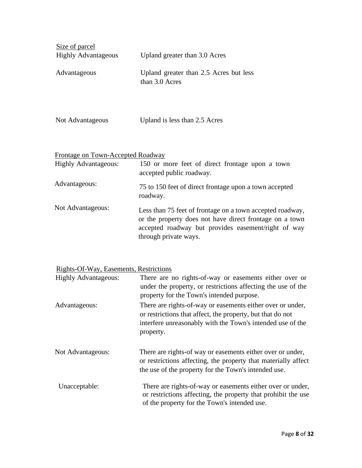| Size of parcel<br><b>Highly Advantageous</b> | Upland greater than 3.0 Acres                            |
|----------------------------------------------|----------------------------------------------------------|
| Advantageous                                 | Upland greater than 2.5 Acres but less<br>than 3.0 Acres |
|                                              |                                                          |

| Not Advantageous | Upland is less than 2.5 Acres |
|------------------|-------------------------------|
|------------------|-------------------------------|

# Frontage on Town-Accepted Roadway

| <b>Highly Advantageous:</b> | 150 or more feet of direct frontage upon a town<br>accepted public roadway.                                                                                                                          |
|-----------------------------|------------------------------------------------------------------------------------------------------------------------------------------------------------------------------------------------------|
| Advantageous:               | 75 to 150 feet of direct frontage upon a town accepted<br>roadway.                                                                                                                                   |
| Not Advantageous:           | Less than 75 feet of frontage on a town accepted roadway,<br>or the property does not have direct frontage on a town<br>accepted roadway but provides easement/right of way<br>through private ways. |

# Rights-Of-Way, Easements, Restrictions

| <b>Highly Advantageous:</b> | There are no rights-of-way or easements either over or<br>under the property, or restrictions affecting the use of the<br>property for the Town's intended purpose.                                 |
|-----------------------------|-----------------------------------------------------------------------------------------------------------------------------------------------------------------------------------------------------|
| Advantageous:               | There are rights-of-way or easements either over or under,<br>or restrictions that affect, the property, but that do not<br>interfere unreasonably with the Town's intended use of the<br>property. |
| Not Advantageous:           | There are rights-of way or easements either over or under,<br>or restrictions affecting, the property that materially affect<br>the use of the property for the Town's intended use.                |
| Unacceptable:               | There are rights-of-way or easements either over or under,<br>or restrictions affecting, the property that prohibit the use<br>of the property for the Town's intended use.                         |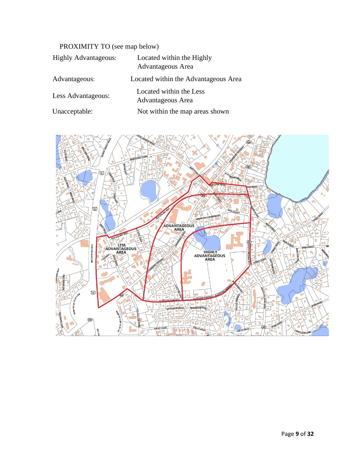# PROXIMITY TO (see map below)

| <b>Highly Advantageous:</b> | Located within the Highly<br>Advantageous Area |
|-----------------------------|------------------------------------------------|
| Advantageous:               | Located within the Advantageous Area           |
| Less Advantageous:          | Located within the Less<br>Advantageous Area   |
| Unacceptable:               | Not within the map areas shown                 |

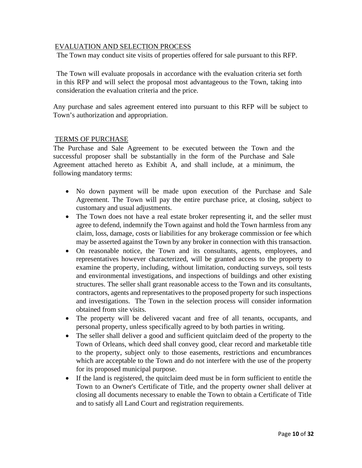#### EVALUATION AND SELECTION PROCESS

The Town may conduct site visits of properties offered for sale pursuant to this RFP.

The Town will evaluate proposals in accordance with the evaluation criteria set forth in this RFP and will select the proposal most advantageous to the Town, taking into consideration the evaluation criteria and the price.

Any purchase and sales agreement entered into pursuant to this RFP will be subject to Town's authorization and appropriation.

#### TERMS OF PURCHASE

The Purchase and Sale Agreement to be executed between the Town and the successful proposer shall be substantially in the form of the Purchase and Sale Agreement attached hereto as Exhibit A, and shall include, at a minimum, the following mandatory terms:

- No down payment will be made upon execution of the Purchase and Sale Agreement. The Town will pay the entire purchase price, at closing, subject to customary and usual adjustments.
- The Town does not have a real estate broker representing it, and the seller must agree to defend, indemnify the Town against and hold the Town harmless from any claim, loss, damage, costs or liabilities for any brokerage commission or fee which may be asserted against the Town by any broker in connection with this transaction.
- On reasonable notice, the Town and its consultants, agents, employees, and representatives however characterized, will be granted access to the property to examine the property, including, without limitation, conducting surveys, soil tests and environmental investigations, and inspections of buildings and other existing structures. The seller shall grant reasonable access to the Town and its consultants, contractors, agents and representatives to the proposed property for such inspections and investigations. The Town in the selection process will consider information obtained from site visits.
- The property will be delivered vacant and free of all tenants, occupants, and personal property, unless specifically agreed to by both parties in writing.
- The seller shall deliver a good and sufficient quitclaim deed of the property to the Town of Orleans, which deed shall convey good, clear record and marketable title to the property, subject only to those easements, restrictions and encumbrances which are acceptable to the Town and do not interfere with the use of the property for its proposed municipal purpose.
- If the land is registered, the quitclaim deed must be in form sufficient to entitle the Town to an Owner's Certificate of Title, and the property owner shall deliver at closing all documents necessary to enable the Town to obtain a Certificate of Title and to satisfy all Land Court and registration requirements.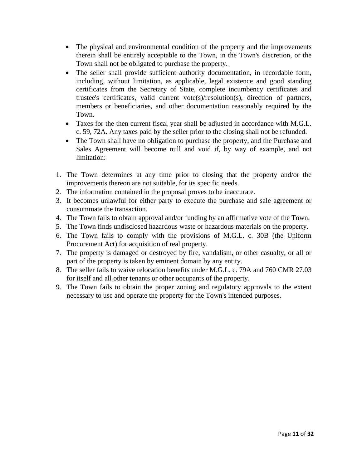- The physical and environmental condition of the property and the improvements therein shall be entirely acceptable to the Town, in the Town's discretion, or the Town shall not be obligated to purchase the property.
- The seller shall provide sufficient authority documentation, in recordable form, including, without limitation, as applicable, legal existence and good standing certificates from the Secretary of State, complete incumbency certificates and trustee's certificates, valid current vote(s)/resolution(s), direction of partners, members or beneficiaries, and other documentation reasonably required by the Town.
- Taxes for the then current fiscal year shall be adjusted in accordance with M.G.L. c. 59, 72A. Any taxes paid by the seller prior to the closing shall not be refunded.
- The Town shall have no obligation to purchase the property, and the Purchase and Sales Agreement will become null and void if, by way of example, and not limitation:
- 1. The Town determines at any time prior to closing that the property and/or the improvements thereon are not suitable, for its specific needs.
- 2. The information contained in the proposal proves to be inaccurate.
- 3. It becomes unlawful for either party to execute the purchase and sale agreement or consummate the transaction.
- 4. The Town fails to obtain approval and/or funding by an affirmative vote of the Town.
- 5. The Town finds undisclosed hazardous waste or hazardous materials on the property.
- 6. The Town fails to comply with the provisions of M.G.L. c. 30B (the Uniform Procurement Act) for acquisition of real property.
- 7. The property is damaged or destroyed by fire, vandalism, or other casualty, or all or part of the property is taken by eminent domain by any entity.
- 8. The seller fails to waive relocation benefits under M.G.L. c. 79A and 760 CMR 27.03 for itself and all other tenants or other occupants of the property.
- 9. The Town fails to obtain the proper zoning and regulatory approvals to the extent necessary to use and operate the property for the Town's intended purposes.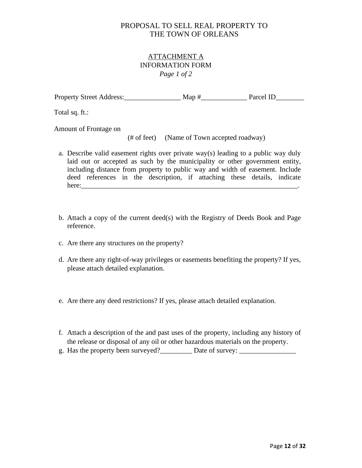## ATTACHMENT A INFORMATION FORM *Page 1 of 2*

| <b>Property Street Address:</b> | Map # | Parcel ID |
|---------------------------------|-------|-----------|
|                                 |       |           |

Total sq. ft.:

Amount of Frontage on

(# of feet) (Name of Town accepted roadway)

- a. Describe valid easement rights over private way(s) leading to a public way duly laid out or accepted as such by the municipality or other government entity, including distance from property to public way and width of easement. Include deed references in the description, if attaching these details, indicate  $here:$
- b. Attach a copy of the current deed(s) with the Registry of Deeds Book and Page reference.
- c. Are there any structures on the property?
- d. Are there any right-of-way privileges or easements benefiting the property? If yes, please attach detailed explanation.
- e. Are there any deed restrictions? If yes, please attach detailed explanation.
- f. Attach a description of the and past uses of the property, including any history of the release or disposal of any oil or other hazardous materials on the property.
- g. Has the property been surveyed?\_\_\_\_\_\_\_\_\_ Date of survey: \_\_\_\_\_\_\_\_\_\_\_\_\_\_\_\_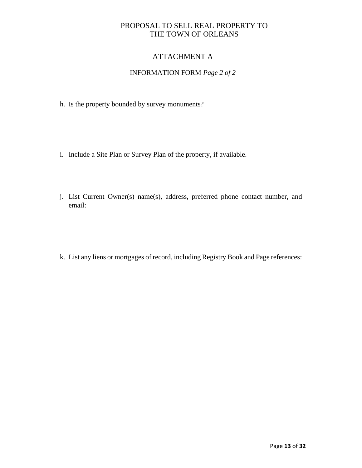## ATTACHMENT A

## INFORMATION FORM *Page 2 of 2*

- h. Is the property bounded by survey monuments?
- i. Include a Site Plan or Survey Plan of the property, if available.
- j. List Current Owner(s) name(s), address, preferred phone contact number, and email:
- k. List any liens or mortgages of record, including Registry Book and Page references: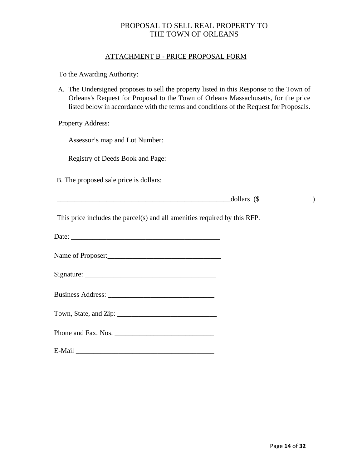#### ATTACHMENT B - PRICE PROPOSAL FORM

To the Awarding Authority:

A. The Undersigned proposes to sell the property listed in this Response to the Town of Orleans's Request for Proposal to the Town of Orleans Massachusetts, for the price listed below in accordance with the terms and conditions of the Request for Proposals.

Property Address:

Assessor's map and Lot Number:

Registry of Deeds Book and Page:

B. The proposed sale price is dollars:

| - - | w |  |
|-----|---|--|
|     |   |  |

This price includes the parcel(s) and all amenities required by this RFP.

| . |
|---|
|---|

Name of Proposer:\_\_\_\_\_\_\_\_\_\_\_\_\_\_\_\_\_\_\_\_\_\_\_\_\_\_\_\_\_\_\_\_

| $\sim$<br>$\mathcal{N}$ 10 m<br>atura:<br>$\tilde{}$<br>- |  |
|-----------------------------------------------------------|--|
|                                                           |  |

| <b>Business Address:</b> |  |
|--------------------------|--|
|--------------------------|--|

Phone and Fax. Nos. \_\_\_\_\_\_\_\_\_\_\_\_\_\_\_\_\_\_\_\_\_\_\_\_\_\_\_\_

E-Mail \_\_\_\_\_\_\_\_\_\_\_\_\_\_\_\_\_\_\_\_\_\_\_\_\_\_\_\_\_\_\_\_\_\_\_\_\_\_\_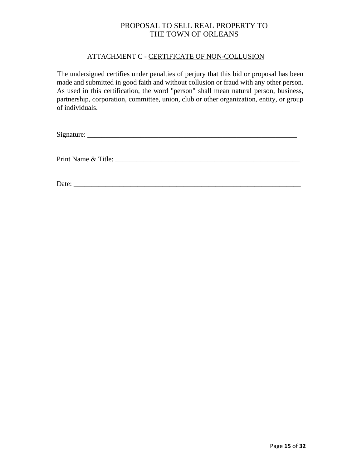#### ATTACHMENT C - CERTIFICATE OF NON-COLLUSION

The undersigned certifies under penalties of perjury that this bid or proposal has been made and submitted in good faith and without collusion or fraud with any other person. As used in this certification, the word "person" shall mean natural person, business, partnership, corporation, committee, union, club or other organization, entity, or group of individuals.

 $Signature:$ 

Print Name & Title:

Date: \_\_\_\_\_\_\_\_\_\_\_\_\_\_\_\_\_\_\_\_\_\_\_\_\_\_\_\_\_\_\_\_\_\_\_\_\_\_\_\_\_\_\_\_\_\_\_\_\_\_\_\_\_\_\_\_\_\_\_\_\_\_\_\_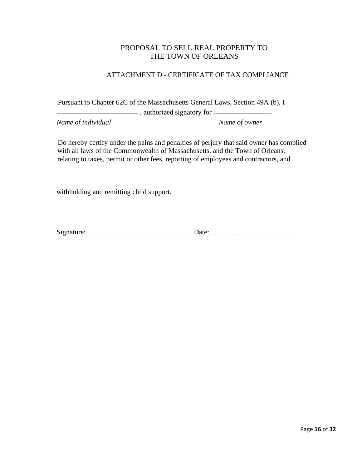### ATTACHMENT D - CERTIFICATE OF TAX COMPLIANCE

Pursuant to Chapter 62C of the Massachusetts General Laws, Section 49A (b), I

**Example 2.1** authorized signatory for

*Name of individual Name of owner*

Do hereby certify under the pains and penalties of perjury that said owner has complied with all laws of the Commonwealth of Massachusetts, and the Town of Orleans, relating to taxes, permit or other fees, reporting of employees and contractors, and

withholding and remitting child support.

Signature: \_\_\_\_\_\_\_\_\_\_\_\_\_\_\_\_\_\_\_\_\_\_\_\_\_\_\_\_\_\_Date: \_\_\_\_\_\_\_\_\_\_\_\_\_\_\_\_\_\_\_\_\_\_\_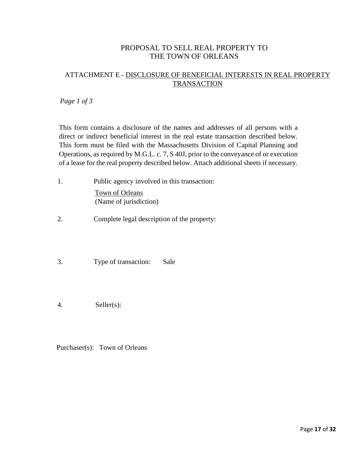## ATTACHMENT E - DISCLOSURE OF BENEFICIAL INTERESTS IN REAL PROPERTY **TRANSACTION**

*Page 1 of 3*

This form contains a disclosure of the names and addresses of all persons with a direct or indirect beneficial interest in the real estate transaction described below. This form must be filed with the Massachusetts Division of Capital Planning and Operations, as required by M.G.L. c. 7, S 40J, prior to the conveyance of or execution of a lease for the real property described below. Attach additional sheets if necessary.

- 1. Public agency involved in this transaction: Town of Orleans (Name of jurisdiction)
- 2. Complete legal description of the property:
- 3. Type of transaction: Sale
- 4. Seller(s):

Purchaser(s): Town of Orleans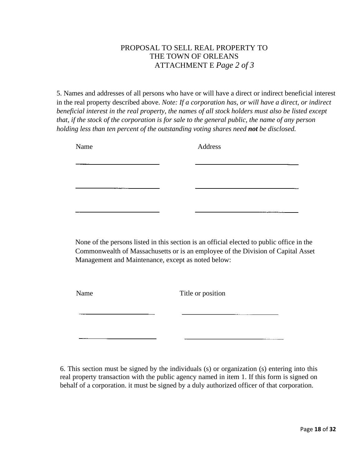# PROPOSAL TO SELL REAL PROPERTY TO THE TOWN OF ORLEANS ATTACHMENT E *Page 2 of 3*

5. Names and addresses of all persons who have or will have a direct or indirect beneficial interest in the real property described above. *Note: If a corporation has, or will have a direct, or indirect beneficial interest in the real property, the names of all stock holders must also be listed except that, if the stock of the corporation is for sale to the general public, the name of any person holding less than ten percent of the outstanding voting shares need not be disclosed.*

| Name | Address |
|------|---------|
|      |         |
|      |         |
|      |         |
|      |         |
|      |         |

None of the persons listed in this section is an official elected to public office in the Commonwealth of Massachusetts or is an employee of the Division of Capital Asset Management and Maintenance, except as noted below:

Name Title or position

6. This section must be signed by the individuals (s) or organization (s) entering into this real property transaction with the public agency named in item 1. If this form is signed on behalf of a corporation. it must be signed by a duly authorized officer of that corporation.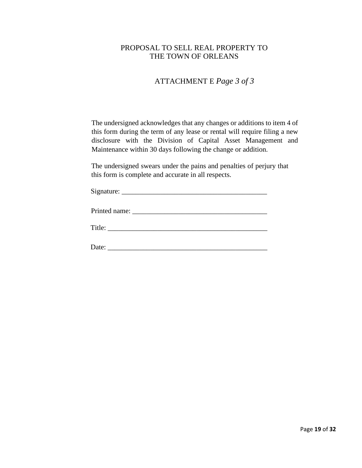# ATTACHMENT E *Page 3 of 3*

The undersigned acknowledges that any changes or additions to item 4 of this form during the term of any lease or rental will require filing a new disclosure with the Division of Capital Asset Management and Maintenance within 30 days following the change or addition.

The undersigned swears under the pains and penalties of perjury that this form is complete and accurate in all respects.

| ∽<br>notura:<br>$\sim$<br>_ <b></b> |  |
|-------------------------------------|--|
|                                     |  |

Printed name: \_\_\_\_\_\_\_\_\_\_\_\_\_\_\_\_\_\_\_\_\_\_\_\_\_\_\_\_\_\_\_\_\_\_\_\_\_\_

Title:

Date: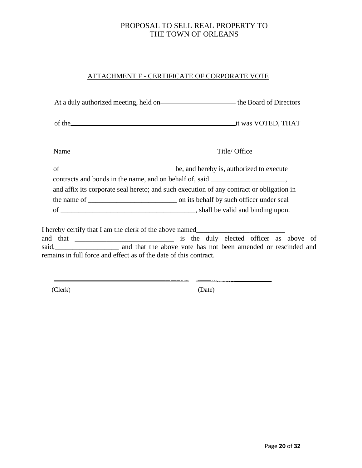# ATTACHMENT F - CERTIFICATE OF CORPORATE VOTE

| Name                                                              | Title/ Office                                                                            |
|-------------------------------------------------------------------|------------------------------------------------------------------------------------------|
|                                                                   | of <u>execute</u> be, and hereby is, authorized to execute                               |
|                                                                   | contracts and bonds in the name, and on behalf of, said _______________________,         |
|                                                                   | and affix its corporate seal hereto; and such execution of any contract or obligation in |
|                                                                   |                                                                                          |
|                                                                   |                                                                                          |
|                                                                   | I hereby certify that I am the clerk of the above named__________________________        |
|                                                                   |                                                                                          |
|                                                                   |                                                                                          |
| remains in full force and effect as of the date of this contract. |                                                                                          |
|                                                                   |                                                                                          |

(Clerk) (Date)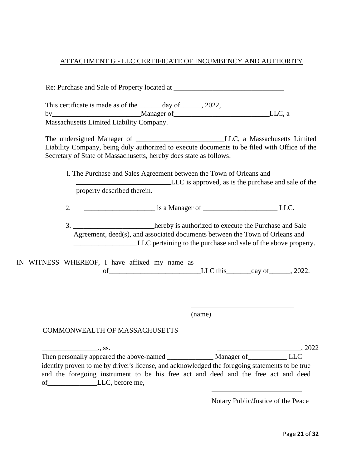## ATTACHMENT G - LLC CERTIFICATE OF INCUMBENCY AND AUTHORITY

| This certificate is made as of the _______ day of ______, 2022,                                                                                                    |                                                                                                                                                                                                                                   |  |
|--------------------------------------------------------------------------------------------------------------------------------------------------------------------|-----------------------------------------------------------------------------------------------------------------------------------------------------------------------------------------------------------------------------------|--|
|                                                                                                                                                                    |                                                                                                                                                                                                                                   |  |
| Massachusetts Limited Liability Company.                                                                                                                           |                                                                                                                                                                                                                                   |  |
| Liability Company, being duly authorized to execute documents to be filed with Office of the<br>Secretary of State of Massachusetts, hereby does state as follows: |                                                                                                                                                                                                                                   |  |
| property described therein.                                                                                                                                        | 1. The Purchase and Sales Agreement between the Town of Orleans and<br>LLC is approved, as is the purchase and sale of the                                                                                                        |  |
|                                                                                                                                                                    | 2. $\qquad \qquad \qquad \qquad \qquad$ is a Manager of $\qquad \qquad \qquad \qquad$ LLC.                                                                                                                                        |  |
|                                                                                                                                                                    | 3. _______________________hereby is authorized to execute the Purchase and Sale<br>Agreement, deed(s), and associated documents between the Town of Orleans and<br>LLC pertaining to the purchase and sale of the above property. |  |
|                                                                                                                                                                    |                                                                                                                                                                                                                                   |  |
| IN WITNESS WHEREOF, I have affixed my name as __________________________________                                                                                   | of LLC this day of 3022.                                                                                                                                                                                                          |  |
|                                                                                                                                                                    | (name)                                                                                                                                                                                                                            |  |
| <b>COMMONWEALTH OF MASSACHUSETTS</b>                                                                                                                               |                                                                                                                                                                                                                                   |  |
| $\overline{\phantom{a}}$ , ss.                                                                                                                                     |                                                                                                                                                                                                                                   |  |

Notary Public/Justice of the Peace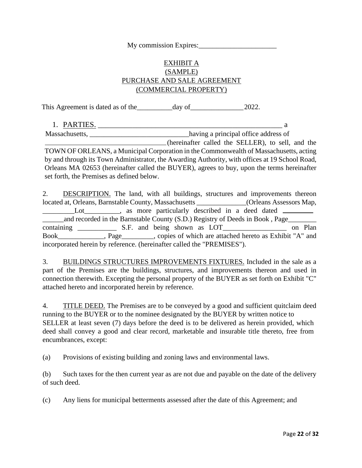My commission Expires:

# EXHIBIT A (SAMPLE) PURCHASE AND SALE AGREEMENT (COMMERCIAL PROPERTY)

This Agreement is dated as of the\_\_\_\_\_\_\_\_\_\_day of\_\_\_\_\_\_\_\_\_\_\_\_\_\_\_2022.

1. PARTIES. \_\_\_\_\_\_\_\_\_\_\_\_\_\_\_\_\_\_\_\_\_\_\_\_\_\_\_\_\_\_\_\_\_\_\_\_\_\_\_\_\_\_\_\_\_\_\_\_ a

Massachusetts, \_\_\_\_\_\_\_\_\_\_\_\_\_\_\_\_\_\_\_\_\_\_\_\_\_\_\_\_\_\_\_\_\_having a principal office address of

(hereinafter called the SELLER), to sell, and the TOWN OF ORLEANS, a Municipal Corporation in the Commonwealth of Massachusetts, acting by and through its Town Administrator, the Awarding Authority, with offices at 19 School Road, Orleans MA 02653 (hereinafter called the BUYER), agrees to buy, upon the terms hereinafter set forth, the Premises as defined below.

2. DESCRIPTION. The land, with all buildings, structures and improvements thereon located at, Orleans, Barnstable County, Massachusetts \_\_\_\_\_\_\_\_\_\_\_\_\_\_(Orleans Assessors Map, Lot\_\_\_\_\_\_\_, as more particularly described in a deed dated \_\_\_\_\_\_ \_\_\_\_\_\_and recorded in the Barnstable County (S.D.) Registry of Deeds in Book , Page\_\_\_\_\_\_\_\_ containing \_\_\_\_\_\_\_\_\_\_\_\_\_\_ S.F. and being shown as LOT\_\_\_\_\_\_\_\_\_\_\_\_\_\_\_\_\_\_\_\_\_ on Plan Book\_\_\_\_\_\_\_\_\_\_\_\_\_, Page\_\_\_\_\_\_\_\_\_, copies of which are attached hereto as Exhibit "A" and incorporated herein by reference. (hereinafter called the "PREMISES").

3. BUILDINGS STRUCTURES IMPROVEMENTS FIXTURES. Included in the sale as a part of the Premises are the buildings, structures, and improvements thereon and used in connection therewith. Excepting the personal property of the BUYER as set forth on Exhibit "C" attached hereto and incorporated herein by reference.

4. TITLE DEED. The Premises are to be conveyed by a good and sufficient quitclaim deed running to the BUYER or to the nominee designated by the BUYER by written notice to SELLER at least seven (7) days before the deed is to be delivered as herein provided, which deed shall convey a good and clear record, marketable and insurable title thereto, free from encumbrances, except:

(a) Provisions of existing building and zoning laws and environmental laws.

(b) Such taxes for the then current year as are not due and payable on the date of the delivery of such deed.

(c) Any liens for municipal betterments assessed after the date of this Agreement; and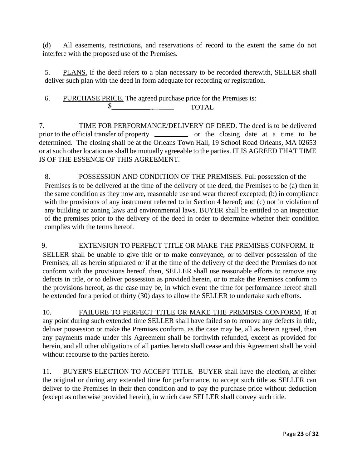(d) All easements, restrictions, and reservations of record to the extent the same do not interfere with the proposed use of the Premises.

5. PLANS. If the deed refers to a plan necessary to be recorded therewith, SELLER shall deliver such plan with the deed in form adequate for recording or registration.

6. PURCHASE PRICE. The agreed purchase price for the Premises is:  $\sim$   $\sim$ TOTAL

7. TIME FOR PERFORMANCE/DELIVERY OF DEED. The deed is to be delivered prior to the official transfer of property <u>or the closing</u> date at a time to be determined. The closing shall be at the Orleans Town Hall, 19 School Road Orleans, MA 02653 or at such other location as shall be mutually agreeable to the parties. IT IS AGREED THAT TIME IS OF THE ESSENCE OF THIS AGREEMENT.

8. POSSESSION AND CONDITION OF THE PREMISES. Full possession of the Premises is to be delivered at the time of the delivery of the deed, the Premises to be (a) then in the same condition as they now are, reasonable use and wear thereof excepted; (b) in compliance with the provisions of any instrument referred to in Section 4 hereof; and (c) not in violation of any building or zoning laws and environmental laws. BUYER shall be entitled to an inspection of the premises prior to the delivery of the deed in order to determine whether their condition complies with the terms hereof.

9. EXTENSION TO PERFECT TITLE OR MAKE THE PREMISES CONFORM. If SELLER shall be unable to give title or to make conveyance, or to deliver possession of the Premises, all as herein stipulated or if at the time of the delivery of the deed the Premises do not conform with the provisions hereof, then, SELLER shall use reasonable efforts to remove any defects in title, or to deliver possession as provided herein, or to make the Premises conform to the provisions hereof, as the case may be, in which event the time for performance hereof shall be extended for a period of thirty (30) days to allow the SELLER to undertake such efforts.

10. FAILURE TO PERFECT TITLE OR MAKE THE PREMISES CONFORM. If at any point during such extended time SELLER shall have failed so to remove any defects in title, deliver possession or make the Premises conform, as the case may be, all as herein agreed, then any payments made under this Agreement shall be forthwith refunded, except as provided for herein, and all other obligations of all parties hereto shall cease and this Agreement shall be void without recourse to the parties hereto.

11. BUYER'S ELECTION TO ACCEPT TITLE. BUYER shall have the election, at either the original or during any extended time for performance, to accept such title as SELLER can deliver to the Premises in their then condition and to pay the purchase price without deduction (except as otherwise provided herein), in which case SELLER shall convey such title.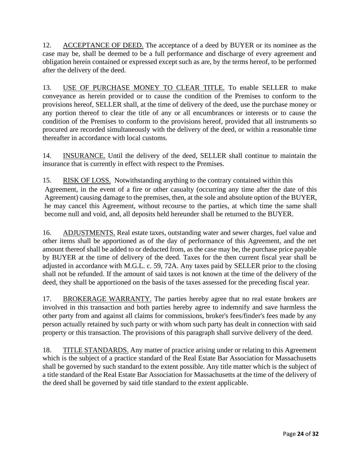12. ACCEPTANCE OF DEED. The acceptance of a deed by BUYER or its nominee as the case may be, shall be deemed to be a full performance and discharge of every agreement and obligation herein contained or expressed except such as are, by the terms hereof, to be performed after the delivery of the deed.

13. USE OF PURCHASE MONEY TO CLEAR TITLE. To enable SELLER to make conveyance as herein provided or to cause the condition of the Premises to conform to the provisions hereof, SELLER shall, at the time of delivery of the deed, use the purchase money or any portion thereof to clear the title of any or all encumbrances or interests or to cause the condition of the Premises to conform to the provisions hereof, provided that all instruments so procured are recorded simultaneously with the delivery of the deed, or within a reasonable time thereafter in accordance with local customs.

14. INSURANCE. Until the delivery of the deed, SELLER shall continue to maintain the insurance that is currently in effect with respect to the Premises.

15. RISK OF LOSS. Notwithstanding anything to the contrary contained within this Agreement, in the event of a fire or other casualty (occurring any time after the date of this Agreement) causing damage to the premises, then, at the sole and absolute option of the BUYER, he may cancel this Agreement, without recourse to the parties, at which time the same shall become null and void, and, all deposits held hereunder shall be returned to the BUYER.

16. ADJUSTMENTS. Real estate taxes, outstanding water and sewer charges, fuel value and other items shall be apportioned as of the day of performance of this Agreement, and the net amount thereof shall be added to or deducted from, as the case may be, the purchase price payable by BUYER at the time of delivery of the deed. Taxes for the then current fiscal year shall be adjusted in accordance with M.G.L. c. 59, 72A. Any taxes paid by SELLER prior to the closing shall not be refunded. If the amount of said taxes is not known at the time of the delivery of the deed, they shall be apportioned on the basis of the taxes assessed for the preceding fiscal year.

17. BROKERAGE WARRANTY. The parties hereby agree that no real estate brokers are involved in this transaction and both parties hereby agree to indemnify and save harmless the other party from and against all claims for commissions, broker's fees/finder's fees made by any person actually retained by such party or with whom such party has dealt in connection with said property or this transaction. The provisions of this paragraph shall survive delivery of the deed.

18. TITLE STANDARDS. Any matter of practice arising under or relating to this Agreement which is the subject of a practice standard of the Real Estate Bar Association for Massachusetts shall be governed by such standard to the extent possible. Any title matter which is the subject of a title standard of the Real Estate Bar Association for Massachusetts at the time of the delivery of the deed shall be governed by said title standard to the extent applicable.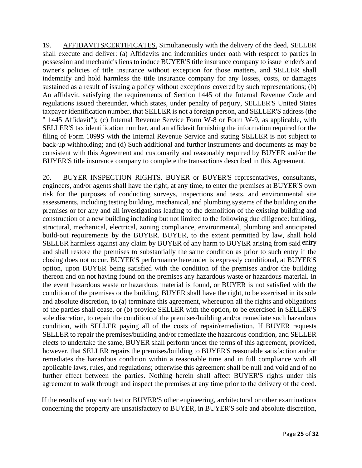19. AFFIDAVITS/CERTIFICATES. Simultaneously with the delivery of the deed, SELLER shall execute and deliver: (a) Affidavits and indemnities under oath with respect to parties in possession and mechanic's liens to induce BUYER'S title insurance company to issue lender's and owner's policies of title insurance without exception for those matters, and SELLER shall indemnify and hold harmless the title insurance company for any losses, costs, or damages sustained as a result of issuing a policy without exceptions covered by such representations; (b) An affidavit, satisfying the requirements of Section 1445 of the Internal Revenue Code and regulations issued thereunder, which states, under penalty of perjury, SELLER'S United States taxpayer identification number, that SELLER is not a foreign person, and SELLER'S address (the " 1445 Affidavit"); (c) Internal Revenue Service Form W-8 or Form W-9, as applicable, with SELLER'S tax identification number, and an affidavit furnishing the information required for the filing of Form 1099S with the Internal Revenue Service and stating SELLER is not subject to back-up withholding; and (d) Such additional and further instruments and documents as may be consistent with this Agreement and customarily and reasonably required by BUYER and/or the BUYER'S title insurance company to complete the transactions described in this Agreement.

20. BUYER INSPECTION RIGHTS. BUYER or BUYER'S representatives, consultants, engineers, and/or agents shall have the right, at any time, to enter the premises at BUYER'S own risk for the purposes of conducting surveys, inspections and tests, and environmental site assessments, including testing building, mechanical, and plumbing systems of the building on the premises or for any and all investigations leading to the demolition of the existing building and construction of a new building including but not limited to the following due diligence: building, structural, mechanical, electrical, zoning compliance, environmental, plumbing and anticipated build-out requirements by the BUYER. BUYER, to the extent permitted by law, shall hold SELLER harmless against any claim by BUYER of any harm to BUYER arising from said entry and shall restore the premises to substantially the same condition as prior to such entry if the closing does not occur. BUYER'S performance hereunder is expressly conditional, at BUYER'S option, upon BUYER being satisfied with the condition of the premises and/or the building thereon and on not having found on the premises any hazardous waste or hazardous material. In the event hazardous waste or hazardous material is found, or BUYER is not satisfied with the condition of the premises or the building, BUYER shall have the right, to be exercised in its sole and absolute discretion, to (a) terminate this agreement, whereupon all the rights and obligations of the parties shall cease, or (b) provide SELLER with the option, to be exercised in SELLER'S sole discretion, to repair the condition of the premises/building and/or remediate such hazardous condition, with SELLER paying all of the costs of repair/remediation. If BUYER requests SELLER to repair the premises/building and/or remediate the hazardous condition, and SELLER elects to undertake the same, BUYER shall perform under the terms of this agreement, provided, however, that SELLER repairs the premises/building to BUYER'S reasonable satisfaction and/or remediates the hazardous condition within a reasonable time and in full compliance with all applicable laws, rules, and regulations; otherwise this agreement shall be null and void and of no further effect between the parties. Nothing herein shall affect BUYER'S rights under this agreement to walk through and inspect the premises at any time prior to the delivery of the deed.

If the results of any such test or BUYER'S other engineering, architectural or other examinations concerning the property are unsatisfactory to BUYER, in BUYER'S sole and absolute discretion,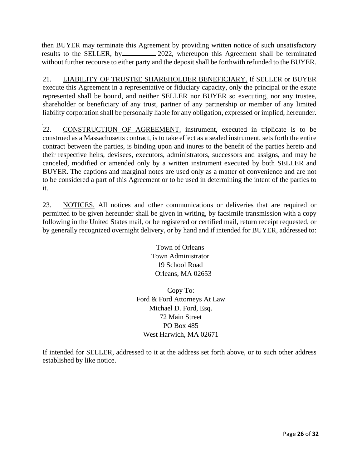then BUYER may terminate this Agreement by providing written notice of such unsatisfactory results to the SELLER, by 2022, whereupon this Agreement shall be terminated without further recourse to either party and the deposit shall be forthwith refunded to the BUYER.

21. LIABILITY OF TRUSTEE SHAREHOLDER BENEFICIARY. If SELLER or BUYER execute this Agreement in a representative or fiduciary capacity, only the principal or the estate represented shall be bound, and neither SELLER nor BUYER so executing, nor any trustee, shareholder or beneficiary of any trust, partner of any partnership or member of any limited liability corporation shall be personally liable for any obligation, expressed or implied, hereunder.

22. CONSTRUCTION OF AGREEMENT. instrument, executed in triplicate is to be construed as a Massachusetts contract, is to take effect as a sealed instrument, sets forth the entire contract between the parties, is binding upon and inures to the benefit of the parties hereto and their respective heirs, devisees, executors, administrators, successors and assigns, and may be canceled, modified or amended only by a written instrument executed by both SELLER and BUYER. The captions and marginal notes are used only as a matter of convenience and are not to be considered a part of this Agreement or to be used in determining the intent of the parties to it.

23. NOTICES. All notices and other communications or deliveries that are required or permitted to be given hereunder shall be given in writing, by facsimile transmission with a copy following in the United States mail, or be registered or certified mail, return receipt requested, or by generally recognized overnight delivery, or by hand and if intended for BUYER, addressed to:

> Town of Orleans Town Administrator 19 School Road Orleans, MA 02653

Copy To: Ford & Ford Attorneys At Law Michael D. Ford, Esq. 72 Main Street PO Box 485 West Harwich, MA 02671

If intended for SELLER, addressed to it at the address set forth above, or to such other address established by like notice.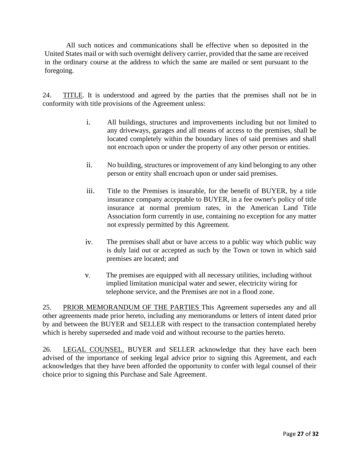All such notices and communications shall be effective when so deposited in the United States mail or with such overnight delivery carrier, provided that the same are received in the ordinary course at the address to which the same are mailed or sent pursuant to the foregoing.

24. TITLE. It is understood and agreed by the parties that the premises shall not be in conformity with title provisions of the Agreement unless:

- i. All buildings, structures and improvements including but not limited to any driveways, garages and all means of access to the premises, shall be located completely within the boundary lines of said premises and shall not encroach upon or under the property of any other person or entities.
- ii. No building, structures or improvement of any kind belonging to any other person or entity shall encroach upon or under said premises.
- iii. Title to the Premises is insurable, for the benefit of BUYER, by a title insurance company acceptable to BUYER, in a fee owner's policy of title insurance at normal premium rates, in the American Land Title Association form currently in use, containing no exception for any matter not expressly permitted by this Agreement.
- iv. The premises shall abut or have access to a public way which public way is duly laid out or accepted as such by the Town or town in which said premises are located; and
- $V,$ The premises are equipped with all necessary utilities, including without implied limitation municipal water and sewer, electricity wiring for telephone service, and the Premises are not in a flood zone.

25. PRIOR MEMORANDUM OF THE PARTIES This Agreement supersedes any and all other agreements made prior hereto, including any memorandums or letters of intent dated prior by and between the BUYER and SELLER with respect to the transaction contemplated hereby which is hereby superseded and made void and without recourse to the parties hereto.

26. LEGAL COUNSEL. BUYER and SELLER acknowledge that they have each been advised of the importance of seeking legal advice prior to signing this Agreement, and each acknowledges that they have been afforded the opportunity to confer with legal counsel of their choice prior to signing this Purchase and Sale Agreement.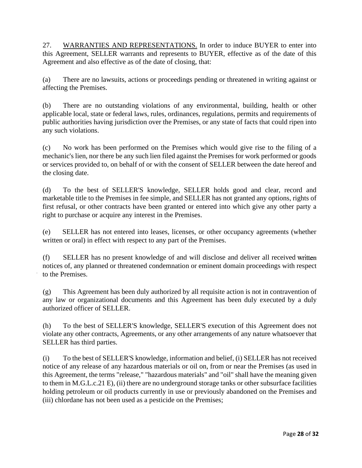27. WARRANTIES AND REPRESENTATIONS. In order to induce BUYER to enter into this Agreement, SELLER warrants and represents to BUYER, effective as of the date of this Agreement and also effective as of the date of closing, that:

(a) There are no lawsuits, actions or proceedings pending or threatened in writing against or affecting the Premises.

(b) There are no outstanding violations of any environmental, building, health or other applicable local, state or federal laws, rules, ordinances, regulations, permits and requirements of public authorities having jurisdiction over the Premises, or any state of facts that could ripen into any such violations.

(c) No work has been performed on the Premises which would give rise to the filing of a mechanic's lien, nor there be any such lien filed against the Premises for work performed or goods or services provided to, on behalf of or with the consent of SELLER between the date hereof and the closing date.

(d) To the best of SELLER'S knowledge, SELLER holds good and clear, record and marketable title to the Premises in fee simple, and SELLER has not granted any options, rights of first refusal, or other contracts have been granted or entered into which give any other party a right to purchase or acquire any interest in the Premises.

(e) SELLER has not entered into leases, licenses, or other occupancy agreements (whether written or oral) in effect with respect to any part of the Premises.

(f) SELLER has no present knowledge of and will disclose and deliver all received notices of, any planned or threatened condemnation or eminent domain proceedings with respect to the Premises.

(g) This Agreement has been duly authorized by all requisite action is not in contravention of any law or organizational documents and this Agreement has been duly executed by a duly authorized officer of SELLER.

(h) To the best of SELLER'S knowledge, SELLER'S execution of this Agreement does not violate any other contracts, Agreements, or any other arrangements of any nature whatsoever that SELLER has third parties.

(i) To the best of SELLER'S knowledge, information and belief, (i) SELLER has not received notice of any release of any hazardous materials or oil on, from or near the Premises (as used in this Agreement, the terms "release," "hazardous materials" and "oil" shall have the meaning given to them in M.G.L.c.21 E), (ii) there are no underground storage tanks or other subsurface facilities holding petroleum or oil products currently in use or previously abandoned on the Premises and (iii) chlordane has not been used as a pesticide on the Premises;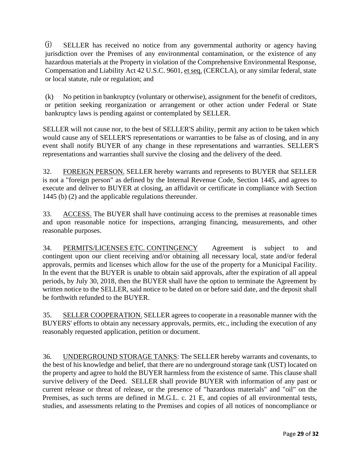SELLER has received no notice from any governmental authority or agency having jurisdiction over the Premises of any environmental contamination, or the existence of any hazardous materials at the Property in violation of the Comprehensive Environmental Response, Compensation and Liability Act 42 U.S.C. 9601, et seq. (CERCLA), or any similar federal, state or local statute, rule or regulation; and

(k) No petition in bankruptcy (voluntary or otherwise), assignment for the benefit of creditors, or petition seeking reorganization or arrangement or other action under Federal or State bankruptcy laws is pending against or contemplated by SELLER.

SELLER will not cause nor, to the best of SELLER'S ability, permit any action to be taken which would cause any of SELLER'S representations or warranties to be false as of closing, and in any event shall notify BUYER of any change in these representations and warranties. SELLER'S representations and warranties shall survive the closing and the delivery of the deed.

32. FOREIGN PERSON. SELLER hereby warrants and represents to BUYER that SELLER is not a "foreign person" as defined by the Internal Revenue Code, Section 1445, and agrees to execute and deliver to BUYER at closing, an affidavit or certificate in compliance with Section 1445 (b) (2) and the applicable regulations thereunder.

33. ACCESS. The BUYER shall have continuing access to the premises at reasonable times and upon reasonable notice for inspections, arranging financing, measurements, and other reasonable purposes.

34. PERMITS/LICENSES ETC. CONTINGENCY Agreement is subject to and contingent upon our client receiving and/or obtaining all necessary local, state and/or federal approvals, permits and licenses which allow for the use of the property for a Municipal Facility. In the event that the BUYER is unable to obtain said approvals, after the expiration of all appeal periods, by July 30, 2018, then the BUYER shall have the option to terminate the Agreement by written notice to the SELLER, said notice to be dated on or before said date, and the deposit shall be forthwith refunded to the BUYER.

35. SELLER COOPERATION. SELLER agrees to cooperate in a reasonable manner with the BUYERS' efforts to obtain any necessary approvals, permits, etc., including the execution of any reasonably requested application, petition or document.

36. UNDERGROUND STORAGE TANKS: The SELLER hereby warrants and covenants, to the best of his knowledge and belief, that there are no underground storage tank (UST) located on the property and agree to hold the BUYER harmless from the existence of same. This clause shall survive delivery of the Deed. SELLER shall provide BUYER with information of any past or current release or threat of release, or the presence of "hazardous materials" and "oil" on the Premises, as such terms are defined in M.G.L. c. 21 E, and copies of all environmental tests, studies, and assessments relating to the Premises and copies of all notices of noncompliance or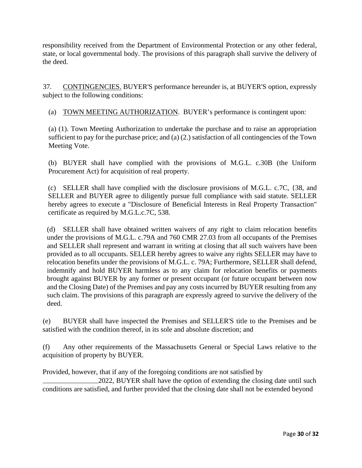responsibility received from the Department of Environmental Protection or any other federal, state, or local governmental body. The provisions of this paragraph shall survive the delivery of the deed.

37. CONTINGENCIES. BUYER'S performance hereunder is, at BUYER'S option, expressly subject to the following conditions:

(a) TOWN MEETING AUTHORIZATION. BUYER's performance is contingent upon:

(a) (1). Town Meeting Authorization to undertake the purchase and to raise an appropriation sufficient to pay for the purchase price; and (a) (2.) satisfaction of all contingencies of the Town Meeting Vote.

(b) BUYER shall have complied with the provisions of M.G.L. c.30B (the Uniform Procurement Act) for acquisition of real property.

(c) SELLER shall have complied with the disclosure provisions of M.G.L. c.7C, {38, and SELLER and BUYER agree to diligently pursue full compliance with said statute. SELLER hereby agrees to execute a "Disclosure of Beneficial Interests in Real Property Transaction" certificate as required by M.G.L.c.7C, 538.

(d) SELLER shall have obtained written waivers of any right to claim relocation benefits under the provisions of M.G.L. c.79A and 760 CMR 27.03 from all occupants of the Premises and SELLER shall represent and warrant in writing at closing that all such waivers have been provided as to all occupants. SELLER hereby agrees to waive any rights SELLER may have to relocation benefits under the provisions of M.G.L. c. 79A; Furthermore, SELLER shall defend, indemnify and hold BUYER harmless as to any claim for relocation benefits or payments brought against BUYER by any former or present occupant (or future occupant between now and the Closing Date) of the Premises and pay any costs incurred by BUYER resulting from any such claim. The provisions of this paragraph are expressly agreed to survive the delivery of the deed.

(e) BUYER shall have inspected the Premises and SELLER'S title to the Premises and be satisfied with the condition thereof, in its sole and absolute discretion; and

(f) Any other requirements of the Massachusetts General or Special Laws relative to the acquisition of property by BUYER.

Provided, however, that if any of the foregoing conditions are not satisfied by

2022, BUYER shall have the option of extending the closing date until such conditions are satisfied, and further provided that the closing date shall not be extended beyond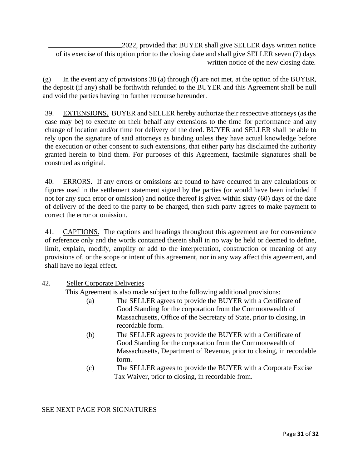2022, provided that BUYER shall give SELLER days written notice of its exercise of this option prior to the closing date and shall give SELLER seven (7) days written notice of the new closing date.

 $(g)$  In the event any of provisions 38 (a) through (f) are not met, at the option of the BUYER, the deposit (if any) shall be forthwith refunded to the BUYER and this Agreement shall be null and void the parties having no further recourse hereunder.

39. EXTENSIONS. BUYER and SELLER hereby authorize their respective attorneys (as the case may be) to execute on their behalf any extensions to the time for performance and any change of location and/or time for delivery of the deed. BUYER and SELLER shall be able to rely upon the signature of said attorneys as binding unless they have actual knowledge before the execution or other consent to such extensions, that either party has disclaimed the authority granted herein to bind them. For purposes of this Agreement, facsimile signatures shall be construed as original.

40. ERRORS. If any errors or omissions are found to have occurred in any calculations or figures used in the settlement statement signed by the parties (or would have been included if not for any such error or omission) and notice thereof is given within sixty (60) days of the date of delivery of the deed to the party to be charged, then such party agrees to make payment to correct the error or omission.

41. CAPTIONS. The captions and headings throughout this agreement are for convenience of reference only and the words contained therein shall in no way be held or deemed to define, limit, explain, modify, amplify or add to the interpretation, construction or meaning of any provisions of, or the scope or intent of this agreement, nor in any way affect this agreement, and shall have no legal effect.

### 42. Seller Corporate Deliveries

This Agreement is also made subject to the following additional provisions:

- (a) The SELLER agrees to provide the BUYER with a Certificate of Good Standing for the corporation from the Commonwealth of Massachusetts, Office of the Secretary of State, prior to closing, in recordable form.
- (b) The SELLER agrees to provide the BUYER with a Certificate of Good Standing for the corporation from the Commonwealth of Massachusetts, Department of Revenue, prior to closing, in recordable form.
- (c) The SELLER agrees to provide the BUYER with a Corporate Excise Tax Waiver, prior to closing, in recordable from.

#### SEE NEXT PAGE FOR SIGNATURES